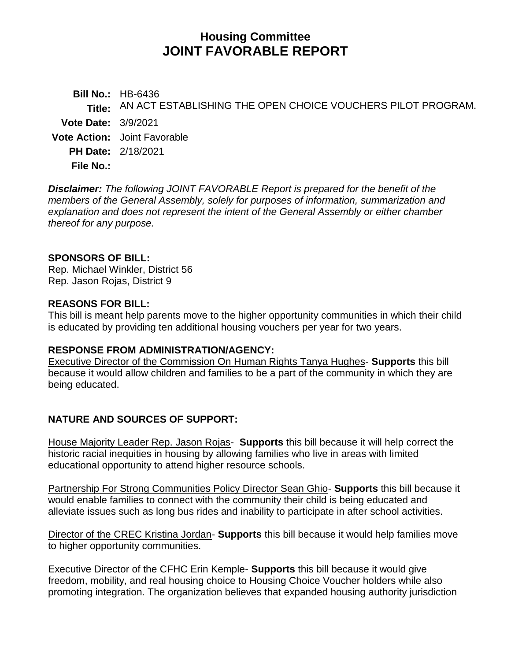# **Housing Committee JOINT FAVORABLE REPORT**

**Bill No.:** HB-6436 **Title:** AN ACT ESTABLISHING THE OPEN CHOICE VOUCHERS PILOT PROGRAM. **Vote Date:** 3/9/2021 **Vote Action:** Joint Favorable **PH Date:** 2/18/2021 **File No.:**

*Disclaimer: The following JOINT FAVORABLE Report is prepared for the benefit of the members of the General Assembly, solely for purposes of information, summarization and explanation and does not represent the intent of the General Assembly or either chamber thereof for any purpose.*

### **SPONSORS OF BILL:**

Rep. Michael Winkler, District 56 Rep. Jason Rojas, District 9

### **REASONS FOR BILL:**

This bill is meant help parents move to the higher opportunity communities in which their child is educated by providing ten additional housing vouchers per year for two years.

### **RESPONSE FROM ADMINISTRATION/AGENCY:**

Executive Director of the Commission On Human Rights Tanya Hughes- **Supports** this bill because it would allow children and families to be a part of the community in which they are being educated.

## **NATURE AND SOURCES OF SUPPORT:**

House Majority Leader Rep. Jason Rojas- **Supports** this bill because it will help correct the historic racial inequities in housing by allowing families who live in areas with limited educational opportunity to attend higher resource schools.

Partnership For Strong Communities Policy Director Sean Ghio- **Supports** this bill because it would enable families to connect with the community their child is being educated and alleviate issues such as long bus rides and inability to participate in after school activities.

Director of the CREC Kristina Jordan- **Supports** this bill because it would help families move to higher opportunity communities.

Executive Director of the CFHC Erin Kemple- **Supports** this bill because it would give freedom, mobility, and real housing choice to Housing Choice Voucher holders while also promoting integration. The organization believes that expanded housing authority jurisdiction